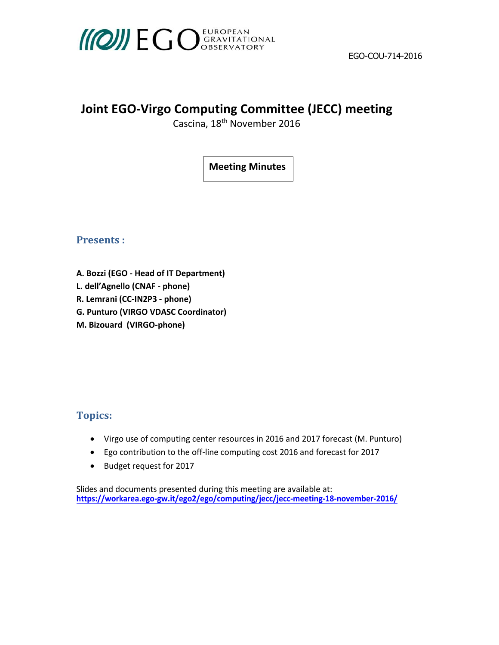

## **Joint EGO‐Virgo Computing Committee (JECC) meeting**

Cascina, 18<sup>t</sup><sup>h</sup> November 2016

**Meeting Minutes**

**Presents** :

- **A. Bozzi (EGO ‐ Head of IT Department)**
- **L. dell'Agnello (CNAF ‐ phone)**
- **R. Lemrani (CC‐IN2P3 ‐ phone)**
- **G. Punturo (VIRGO VDASC Coordinator)**
- **M. Bizouard (VIRGO‐phone)**

## **Topics:**

- Virgo use of computing center resources in 2016 and 2017 forecast (M. Punturo)
- Ego contribution to the off‐line computing cost 2016 and forecast for 2017
- Budget request for 2017

Slides and documents presented during this meeting are available at: **https://workarea.ego‐gw.it/ego2/ego/computing/jecc/jecc‐meeting‐18‐november‐2016/**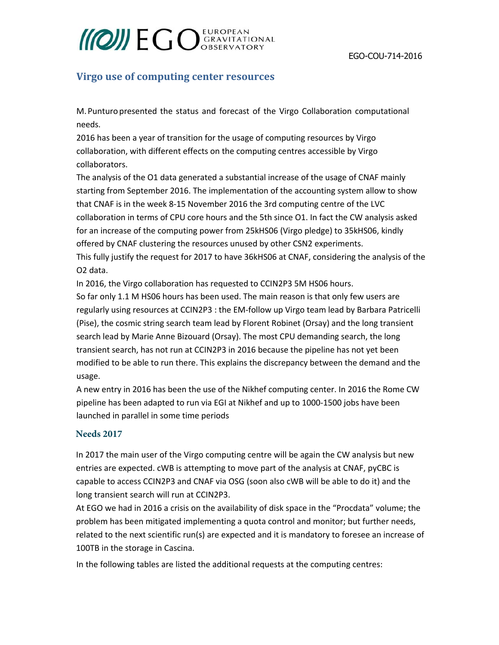# **MOWEGO** GRAVITATIONAL

### **Virgo use of computing center resources**

M. Punturo presented the status and forecast of the Virgo Collaboration computational needs.

2016 has been a year of transition for the usage of computing resources by Virgo collaboration, with different effects on the computing centres accessible by Virgo collaborators.

The analysis of the O1 data generated a substantial increase of the usage of CNAF mainly starting from September 2016. The implementation of the accounting system allow to show that CNAF is in the week 8-15 November 2016 the 3rd computing centre of the LVC collaboration in terms of CPU core hours and the 5th since O1. In fact the CW analysis asked for an increase of the computing power from 25kHS06 (Virgo pledge) to 35kHS06, kindly offered by CNAF clustering the resources unused by other CSN2 experiments. This fully justify the request for 2017 to have 36kHS06 at CNAF, considering the analysis of the O2 data.

In 2016, the Virgo collaboration has requested to CCIN2P3 5M HS06 hours.

So far only 1.1 M HS06 hours has been used. The main reason is that only few users are regularly using resources at CCIN2P3 : the EM-follow up Virgo team lead by Barbara Patricelli (Pise), the cosmic string search team lead by Florent Robinet (Orsay) and the long transient search lead by Marie Anne Bizouard (Orsay). The most CPU demanding search, the long transient search, has not run at CCIN2P3 in 2016 because the pipeline has not yet been modified to be able to run there. This explains the discrepancy between the demand and the usage.

A new entry in 2016 has been the use of the Nikhef computing center. In 2016 the Rome CW pipeline has been adapted to run via EGI at Nikhef and up to 1000-1500 jobs have been launched in parallel in some time periods

### **Needs 2017**

In 2017 the main user of the Virgo computing centre will be again the CW analysis but new entries are expected. cWB is attempting to move part of the analysis at CNAF, pyCBC is capable to access CCIN2P3 and CNAF via OSG (soon also cWB will be able to do it) and the long transient search will run at CCIN2P3.

At EGO we had in 2016 a crisis on the availability of disk space in the "Procdata" volume; the problem has been mitigated implementing a quota control and monitor; but further needs, related to the next scientific run(s) are expected and it is mandatory to foresee an increase of 100TB in the storage in Cascina.

In the following tables are listed the additional requests at the computing centres: